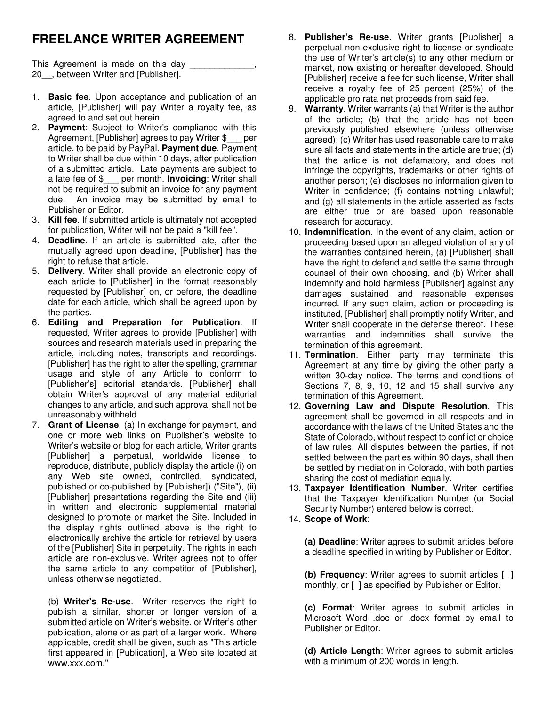## **FREELANCE WRITER AGREEMENT**

This Agreement is made on this day \_\_\_\_\_\_\_\_\_\_\_\_, 20<sup>.</sup>, between Writer and [Publisher].

- 1. **Basic fee**. Upon acceptance and publication of an article, [Publisher] will pay Writer a royalty fee, as agreed to and set out herein.
- 2. **Payment**: Subject to Writer's compliance with this Agreement, [Publisher] agrees to pay Writer \$ per article, to be paid by PayPal. **Payment due**. Payment to Writer shall be due within 10 days, after publication of a submitted article. Late payments are subject to a late fee of \$\_\_\_ per month. **Invoicing**: Writer shall not be required to submit an invoice for any payment due. An invoice may be submitted by email to Publisher or Editor.
- 3. **Kill fee**. If submitted article is ultimately not accepted for publication, Writer will not be paid a "kill fee".
- 4. **Deadline**. If an article is submitted late, after the mutually agreed upon deadline, [Publisher] has the right to refuse that article.
- 5. **Delivery**. Writer shall provide an electronic copy of each article to [Publisher] in the format reasonably requested by [Publisher] on, or before, the deadline date for each article, which shall be agreed upon by the parties.
- 6. **Editing and Preparation for Publication**. If requested, Writer agrees to provide [Publisher] with sources and research materials used in preparing the article, including notes, transcripts and recordings. [Publisher] has the right to alter the spelling, grammar usage and style of any Article to conform to [Publisher's] editorial standards. [Publisher] shall obtain Writer's approval of any material editorial changes to any article, and such approval shall not be unreasonably withheld.
- 7. **Grant of License**. (a) In exchange for payment, and one or more web links on Publisher's website to Writer's website or blog for each article, Writer grants [Publisher] a perpetual, worldwide license to reproduce, distribute, publicly display the article (i) on any Web site owned, controlled, syndicated, published or co-published by [Publisher]) ("Site"), (ii) [Publisher] presentations regarding the Site and (iii) in written and electronic supplemental material designed to promote or market the Site. Included in the display rights outlined above is the right to electronically archive the article for retrieval by users of the [Publisher] Site in perpetuity. The rights in each article are non-exclusive. Writer agrees not to offer the same article to any competitor of [Publisher], unless otherwise negotiated.

(b) **Writer's Re-use**. Writer reserves the right to publish a similar, shorter or longer version of a submitted article on Writer's website, or Writer's other publication, alone or as part of a larger work. Where applicable, credit shall be given, such as "This article first appeared in [Publication], a Web site located at www.xxx.com."

- 8. **Publisher's Re-use**. Writer grants [Publisher] a perpetual non-exclusive right to license or syndicate the use of Writer's article(s) to any other medium or market, now existing or hereafter developed. Should [Publisher] receive a fee for such license, Writer shall receive a royalty fee of 25 percent (25%) of the applicable pro rata net proceeds from said fee.
- 9. **Warranty**. Writer warrants (a) that Writer is the author of the article; (b) that the article has not been previously published elsewhere (unless otherwise agreed); (c) Writer has used reasonable care to make sure all facts and statements in the article are true; (d) that the article is not defamatory, and does not infringe the copyrights, trademarks or other rights of another person; (e) discloses no information given to Writer in confidence; (f) contains nothing unlawful; and (g) all statements in the article asserted as facts are either true or are based upon reasonable research for accuracy.
- 10. **Indemnification**. In the event of any claim, action or proceeding based upon an alleged violation of any of the warranties contained herein, (a) [Publisher] shall have the right to defend and settle the same through counsel of their own choosing, and (b) Writer shall indemnify and hold harmless [Publisher] against any damages sustained and reasonable expenses incurred. If any such claim, action or proceeding is instituted, [Publisher] shall promptly notify Writer, and Writer shall cooperate in the defense thereof. These warranties and indemnities shall survive the termination of this agreement.
- 11. **Termination**. Either party may terminate this Agreement at any time by giving the other party a written 30-day notice. The terms and conditions of Sections 7, 8, 9, 10, 12 and 15 shall survive any termination of this Agreement.
- 12. **Governing Law and Dispute Resolution**. This agreement shall be governed in all respects and in accordance with the laws of the United States and the State of Colorado, without respect to conflict or choice of law rules. All disputes between the parties, if not settled between the parties within 90 days, shall then be settled by mediation in Colorado, with both parties sharing the cost of mediation equally.
- 13. **Taxpayer Identification Number**. Writer certifies that the Taxpayer Identification Number (or Social Security Number) entered below is correct.
- 14. **Scope of Work**:

**(a) Deadline**: Writer agrees to submit articles before a deadline specified in writing by Publisher or Editor.

**(b) Frequency**: Writer agrees to submit articles [ ] monthly, or  $\lceil \ \rceil$  as specified by Publisher or Editor.

**(c) Format**: Writer agrees to submit articles in Microsoft Word .doc or .docx format by email to Publisher or Editor.

**(d) Article Length**: Writer agrees to submit articles with a minimum of 200 words in length.